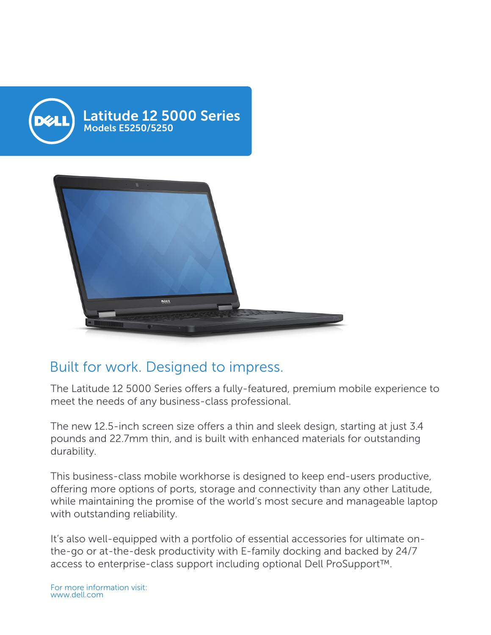

## Built for work. Designed to impress.

The Latitude 12 5000 Series offers a fully-featured, premium mobile experience to meet the needs of any business-class professional.

The new 12.5-inch screen size offers a thin and sleek design, starting at just 3.4 pounds and 22.7mm thin, and is built with enhanced materials for outstanding durability.

This business-class mobile workhorse is designed to keep end-users productive, offering more options of ports, storage and connectivity than any other Latitude, while maintaining the promise of the world's most secure and manageable laptop with outstanding reliability.

It's also well-equipped with a portfolio of essential accessories for ultimate onthe-go or at-the-desk productivity with E-family docking and backed by 24/7 access to enterprise-class support including optional Dell ProSupport™.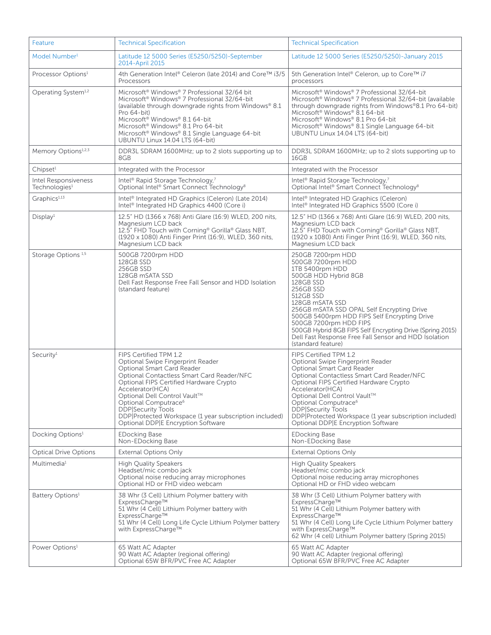| Feature                                                  | <b>Technical Specification</b>                                                                                                                                                                                                                                                                                                                                                                                         | <b>Technical Specification</b>                                                                                                                                                                                                                                                                                                                                                                                                            |
|----------------------------------------------------------|------------------------------------------------------------------------------------------------------------------------------------------------------------------------------------------------------------------------------------------------------------------------------------------------------------------------------------------------------------------------------------------------------------------------|-------------------------------------------------------------------------------------------------------------------------------------------------------------------------------------------------------------------------------------------------------------------------------------------------------------------------------------------------------------------------------------------------------------------------------------------|
| Model Number <sup>1</sup>                                | Latitude 12 5000 Series (E5250/5250)-September<br>2014-April 2015                                                                                                                                                                                                                                                                                                                                                      | Latitude 12 5000 Series (E5250/5250)-January 2015                                                                                                                                                                                                                                                                                                                                                                                         |
| Processor Options <sup>1</sup>                           | 4th Generation Intel® Celeron (late 2014) and Core™ i3/5<br>Processors                                                                                                                                                                                                                                                                                                                                                 | 5th Generation Intel® Celeron, up to Core™ i7<br>processors                                                                                                                                                                                                                                                                                                                                                                               |
| Operating System <sup>1,2</sup>                          | Microsoft <sup>®</sup> Windows® 7 Professional 32/64 bit<br>Microsoft <sup>®</sup> Windows <sup>®</sup> 7 Professional 32/64-bit<br>(available through downgrade rights from Windows® 8.1)<br>Pro 64-bit)<br>Microsoft <sup>®</sup> Windows® 8.1 64-bit<br>Microsoft <sup>®</sup> Windows <sup>®</sup> 8.1 Pro 64-bit<br>Microsoft <sup>®</sup> Windows® 8.1 Single Language 64-bit<br>UBUNTU Linux 14.04 LTS (64-bit) | Microsoft <sup>®</sup> Windows® 7 Professional 32/64-bit<br>Microsoft <sup>®</sup> Windows <sup>®</sup> 7 Professional 32/64-bit (available<br>through downgrade rights from Windows®8.1 Pro 64-bit)<br>Microsoft <sup>®</sup> Windows <sup>®</sup> 8.1 64-bit<br>Microsoft <sup>®</sup> Windows <sup>®</sup> 8.1 Pro 64-bit<br>Microsoft <sup>®</sup> Windows <sup>®</sup> 8.1 Single Language 64-bit<br>UBUNTU Linux 14.04 LTS (64-bit) |
| Memory Options <sup>1,2,3</sup>                          | DDR3L SDRAM 1600MHz; up to 2 slots supporting up to<br>8GB                                                                                                                                                                                                                                                                                                                                                             | DDR3L SDRAM 1600MHz; up to 2 slots supporting up to<br>16GB                                                                                                                                                                                                                                                                                                                                                                               |
| Chipset <sup>1</sup>                                     | Integrated with the Processor                                                                                                                                                                                                                                                                                                                                                                                          | Integrated with the Processor                                                                                                                                                                                                                                                                                                                                                                                                             |
| <b>Intel Responsiveness</b><br>Technologies <sup>1</sup> | Intel <sup>®</sup> Rapid Storage Technology,7<br>Optional Intel® Smart Connect Technology <sup>8</sup>                                                                                                                                                                                                                                                                                                                 | Intel <sup>®</sup> Rapid Storage Technology,7<br>Optional Intel® Smart Connect Technology <sup>8</sup>                                                                                                                                                                                                                                                                                                                                    |
| Graphics <sup>1,13</sup>                                 | Intel <sup>®</sup> Integrated HD Graphics (Celeron) (Late 2014)<br>Intel <sup>®</sup> Integrated HD Graphics 4400 (Core i)                                                                                                                                                                                                                                                                                             | Intel <sup>®</sup> Integrated HD Graphics (Celeron)<br>Intel <sup>®</sup> Integrated HD Graphics 5500 (Core i)                                                                                                                                                                                                                                                                                                                            |
| Display <sup>1</sup>                                     | 12.5" HD (1366 x 768) Anti Glare (16:9) WLED, 200 nits,<br>Magnesium LCD back<br>12.5" FHD Touch with Corning® Gorilla® Glass NBT,<br>(1920 x 1080) Anti Finger Print (16:9), WLED, 360 nits,<br>Magnesium LCD back                                                                                                                                                                                                    | 12.5" HD (1366 x 768) Anti Glare (16:9) WLED, 200 nits,<br>Magnesium LCD back<br>12.5" FHD Touch with Corning <sup>®</sup> Gorilla <sup>®</sup> Glass NBT,<br>(1920 x 1080) Anti Finger Print (16:9), WLED, 360 nits,<br>Magnesium LCD back                                                                                                                                                                                               |
| Storage Options <sup>1,5</sup>                           | 500GB 7200rpm HDD<br>128GB SSD<br>256GB SSD<br>128GB mSATA SSD<br>Dell Fast Response Free Fall Sensor and HDD Isolation<br>(standard feature)                                                                                                                                                                                                                                                                          | 250GB 7200rpm HDD<br>500GB 7200rpm HDD<br>1TB 5400rpm HDD<br>500GB HDD Hybrid 8GB<br>128GB SSD<br>256GB SSD<br>512GB SSD<br>128GB mSATA SSD<br>256GB mSATA SSD OPAL Self Encrypting Drive<br>500GB 5400rpm HDD FIPS Self Encrypting Drive<br>500GB 7200rpm HDD FIPS<br>500GB Hybrid 8GB FIPS Self Encrypting Drive (Spring 2015)<br>Dell Fast Response Free Fall Sensor and HDD Isolation<br>(standard feature)                           |
| Security <sup>1</sup>                                    | FIPS Certified TPM 1.2<br>Optional Swipe Fingerprint Reader<br>Optional Smart Card Reader<br>Optional Contactless Smart Card Reader/NFC<br>Optional FIPS Certified Hardware Crypto<br>Accelerator(HCA)<br>Optional Dell Control Vault™<br>Optional Computrace <sup>6</sup><br><b>DDP</b> Security Tools<br>DDP Protected Workspace (1 year subscription included)<br>Optional DDP E Encryption Software                | FIPS Certified TPM 1.2<br>Optional Swipe Fingerprint Reader<br><b>Optional Smart Card Reader</b><br>Optional Contactless Smart Card Reader/NFC<br>Optional FIPS Certified Hardware Crypto<br>Accelerator(HCA)<br>Optional Dell Control Vault™<br>Optional Computrace <sup>6</sup><br><b>DDP</b> Security Tools<br>DDP Protected Workspace (1 year subscription included)<br>Optional DDP E Encryption Software                            |
| Docking Options <sup>1</sup>                             | <b>EDocking Base</b><br>Non-EDocking Base                                                                                                                                                                                                                                                                                                                                                                              | <b>EDocking Base</b><br>Non-EDocking Base                                                                                                                                                                                                                                                                                                                                                                                                 |
| <b>Optical Drive Options</b>                             | <b>External Options Only</b>                                                                                                                                                                                                                                                                                                                                                                                           | <b>External Options Only</b>                                                                                                                                                                                                                                                                                                                                                                                                              |
| Multimedia <sup>1</sup>                                  | <b>High Quality Speakers</b><br>Headset/mic combo jack<br>Optional noise reducing array microphones<br>Optional HD or FHD video webcam                                                                                                                                                                                                                                                                                 | <b>High Quality Speakers</b><br>Headset/mic combo jack<br>Optional noise reducing array microphones<br>Optional HD or FHD video webcam                                                                                                                                                                                                                                                                                                    |
| Battery Options <sup>1</sup>                             | 38 Whr (3 Cell) Lithium Polymer battery with<br>ExpressCharge™<br>51 Whr (4 Cell) Lithium Polymer battery with<br>ExpressCharge™<br>51 Whr (4 Cell) Long Life Cycle Lithium Polymer battery<br>with ExpressCharge™                                                                                                                                                                                                     | 38 Whr (3 Cell) Lithium Polymer battery with<br>ExpressCharge™<br>51 Whr (4 Cell) Lithium Polymer battery with<br>ExpressCharge™<br>51 Whr (4 Cell) Long Life Cycle Lithium Polymer battery<br>with ExpressCharge™<br>62 Whr (4 cell) Lithium Polymer battery (Spring 2015)                                                                                                                                                               |
| Power Options <sup>1</sup>                               | 65 Watt AC Adapter<br>90 Watt AC Adapter (regional offering)<br>Optional 65W BFR/PVC Free AC Adapter                                                                                                                                                                                                                                                                                                                   | 65 Watt AC Adapter<br>90 Watt AC Adapter (regional offering)<br>Optional 65W BFR/PVC Free AC Adapter                                                                                                                                                                                                                                                                                                                                      |